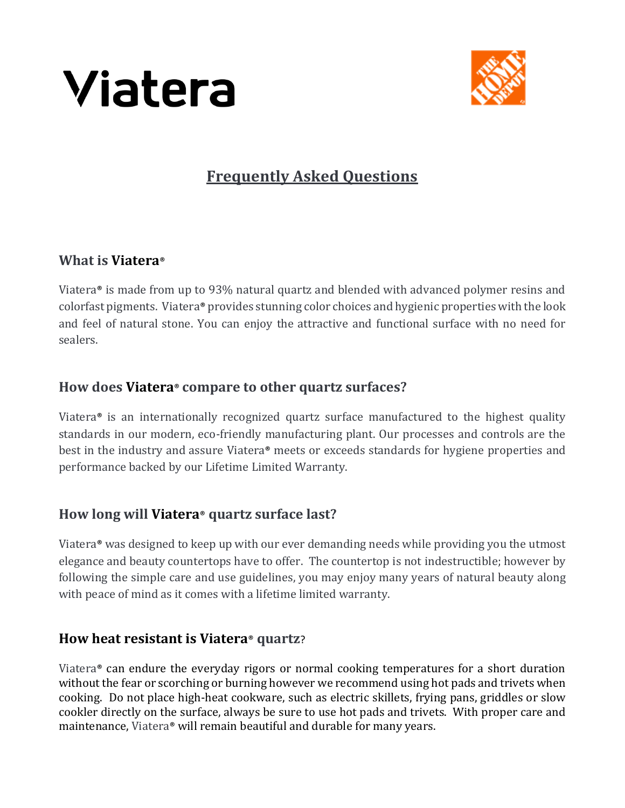



# **Frequently Asked Questions**

#### **What is Viatera**®

Viatera® is made from up to 93% natural quartz and blended with advanced polymer resins and colorfast pigments. Viatera® provides stunning color choices and hygienic properties with the look and feel of natural stone. You can enjoy the attractive and functional surface with no need for sealers.

#### **How does Viatera**® **compare to other quartz surfaces?**

Viatera® is an internationally recognized quartz surface manufactured to the highest quality standards in our modern, eco-friendly manufacturing plant. Our processes and controls are the best in the industry and assure Viatera® meets or exceeds standards for hygiene properties and performance backed by our Lifetime Limited Warranty.

## **How long will Viatera**® **quartz surface last?**

Viatera® was designed to keep up with our ever demanding needs while providing you the utmost elegance and beauty countertops have to offer. The countertop is not indestructible; however by following the simple care and use guidelines, you may enjoy many years of natural beauty along with peace of mind as it comes with a lifetime limited warranty.

## **How heat resistant is Viatera**® **quartz**?

Viatera® can endure the everyday rigors or normal cooking temperatures for a short duration without the fear or scorching or burning however we recommend using hot pads and trivets when cooking. Do not place high-heat cookware, such as electric skillets, frying pans, griddles or slow cookler directly on the surface, always be sure to use hot pads and trivets. With proper care and maintenance, Viatera® will remain beautiful and durable for many years.